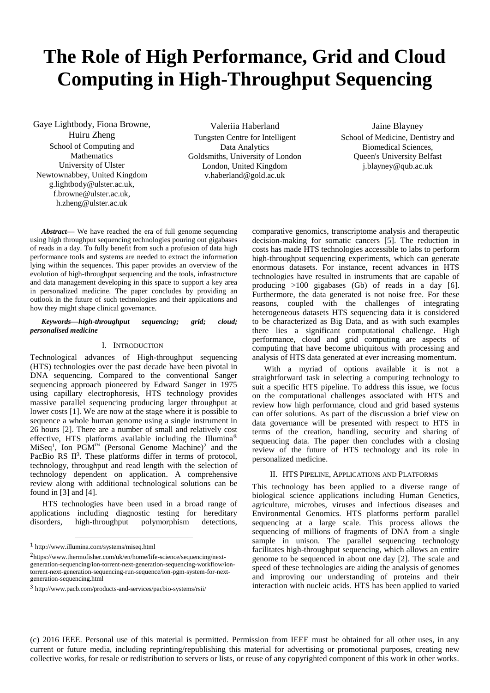# **The Role of High Performance, Grid and Cloud Computing in High-Throughput Sequencing**

Gaye Lightbody, Fiona Browne, Huiru Zheng School of Computing and Mathematics University of Ulster Newtownabbey, United Kingdom g.lightbody@ulster.ac.uk, f.browne@ulster.ac.uk, h.zheng@ulster.ac.uk

Valeriia Haberland Tungsten Centre for Intelligent Data Analytics Goldsmiths, University of London London, United Kingdom v.haberland@gold.ac.uk

Jaine Blayney School of Medicine, Dentistry and Biomedical Sciences, Queen's University Belfast j.blayney@qub.ac.uk

*Abstract*— We have reached the era of full genome sequencing using high throughput sequencing technologies pouring out gigabases of reads in a day. To fully benefit from such a profusion of data high performance tools and systems are needed to extract the information lying within the sequences. This paper provides an overview of the evolution of high-throughput sequencing and the tools, infrastructure and data management developing in this space to support a key area in personalized medicine. The paper concludes by providing an outlook in the future of such technologies and their applications and how they might shape clinical governance.

## *Keywords—high-throughput sequencing; grid; cloud; personalised medicine*

#### I. INTRODUCTION

Technological advances of High-throughput sequencing (HTS) technologies over the past decade have been pivotal in DNA sequencing. Compared to the conventional Sanger sequencing approach pioneered by Edward Sanger in 1975 using capillary electrophoresis, HTS technology provides massive parallel sequencing producing larger throughput at lower costs [1]. We are now at the stage where it is possible to sequence a whole human genome using a single instrument in 26 hours [2]. There are a number of small and relatively cost effective, HTS platforms available including the Illumina<sup>®</sup>  $MiSeq<sup>1</sup>$ , Ion PGM<sup>™</sup> (Personal Genome Machine)<sup>2</sup> and the PacBio RS II<sup>3</sup>. These platforms differ in terms of protocol, technology, throughput and read length with the selection of technology dependent on application. A comprehensive review along with additional technological solutions can be found in [3] and [4].

HTS technologies have been used in a broad range of applications including diagnostic testing for hereditary disorders, high-throughput polymorphism detections,

1

comparative genomics, transcriptome analysis and therapeutic decision-making for somatic cancers [5]. The reduction in costs has made HTS technologies accessible to labs to perform high-throughput sequencing experiments, which can generate enormous datasets. For instance, recent advances in HTS technologies have resulted in instruments that are capable of producing >100 gigabases (Gb) of reads in a day [6]. Furthermore, the data generated is not noise free. For these reasons, coupled with the challenges of integrating heterogeneous datasets HTS sequencing data it is considered to be characterized as Big Data, and as with such examples there lies a significant computational challenge. High performance, cloud and grid computing are aspects of computing that have become ubiquitous with processing and analysis of HTS data generated at ever increasing momentum.

With a myriad of options available it is not a straightforward task in selecting a computing technology to suit a specific HTS pipeline. To address this issue, we focus on the computational challenges associated with HTS and review how high performance, cloud and grid based systems can offer solutions. As part of the discussion a brief view on data governance will be presented with respect to HTS in terms of the creation, handling, security and sharing of sequencing data. The paper then concludes with a closing review of the future of HTS technology and its role in personalized medicine.

## II. HTS PIPELINE, APPLICATIONS AND PLATFORMS

This technology has been applied to a diverse range of biological science applications including Human Genetics, agriculture, microbes, viruses and infectious diseases and Environmental Genomics. HTS platforms perform parallel sequencing at a large scale. This process allows the sequencing of millions of fragments of DNA from a single sample in unison. The parallel sequencing technology facilitates high-throughput sequencing, which allows an entire genome to be sequenced in about one day [2]. The scale and speed of these technologies are aiding the analysis of genomes and improving our understanding of proteins and their interaction with nucleic acids. HTS has been applied to varied

(c) 2016 IEEE. Personal use of this material is permitted. Permission from IEEE must be obtained for all other uses, in any current or future media, including reprinting/republishing this material for advertising or promotional purposes, creating new collective works, for resale or redistribution to servers or lists, or reuse of any copyrighted component of this work in other works.

<sup>1</sup> http://www.illumina.com/systems/miseq.html

<sup>2</sup>https://www.thermofisher.com/uk/en/home/life-science/sequencing/nextgeneration-sequencing/ion-torrent-next-generation-sequencing-workflow/iontorrent-next-generation-sequencing-run-sequence/ion-pgm-system-for-nextgeneration-sequencing.html

<sup>3</sup> http://www.pacb.com/products-and-services/pacbio-systems/rsii/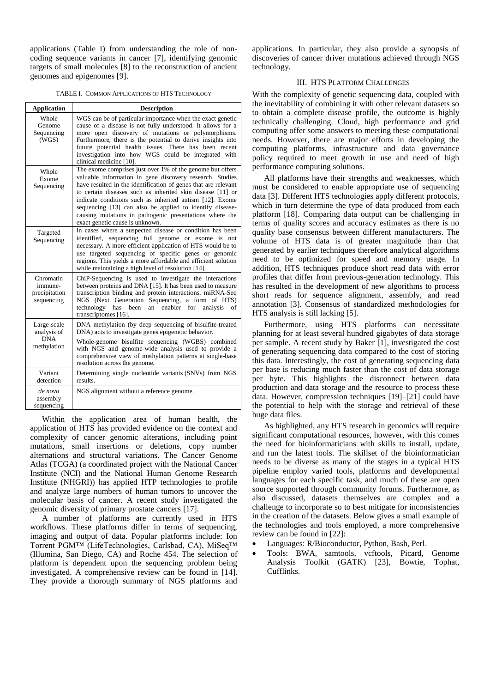applications (Table I) from understanding the role of noncoding sequence variants in cancer [7], identifying genomic targets of small molecules [8] to the reconstruction of ancient genomes and epigenomes [9].

| <b>Application</b>                                      | <b>Description</b>                                                                                                                                                                                                                                                                                                                                                                                                                                                          |  |  |
|---------------------------------------------------------|-----------------------------------------------------------------------------------------------------------------------------------------------------------------------------------------------------------------------------------------------------------------------------------------------------------------------------------------------------------------------------------------------------------------------------------------------------------------------------|--|--|
| Whole<br>Genome<br>Sequencing<br>(WGS)                  | WGS can be of particular importance when the exact genetic<br>cause of a disease is not fully understood. It allows for a<br>more open discovery of mutations or polymorphisms.<br>Furthermore, there is the potential to derive insights into<br>future potential health issues. There has been recent<br>investigation into how WGS could be integrated with<br>clinical medicine [10].                                                                                   |  |  |
| Whole<br>Exome<br>Sequencing                            | The exome comprises just over 1% of the genome but offers<br>valuable information in gene discovery research. Studies<br>have resulted in the identification of genes that are relevant<br>to certain diseases such as inherited skin disease [11] or<br>indicate conditions such as inherited autism [12]. Exome<br>sequencing [13] can also be applied to identify disease-<br>causing mutations in pathogenic presentations where the<br>exact genetic cause is unknown. |  |  |
| Targeted<br>Sequencing                                  | In cases where a suspected disease or condition has been<br>identified, sequencing full genome or exome is not<br>necessary. A more efficient application of HTS would be to<br>use targeted sequencing of specific genes or genomic<br>regions. This yields a more affordable and efficient solution<br>while maintaining a high level of resolution [14].                                                                                                                 |  |  |
| Chromatin<br>immune-<br>precipitation<br>sequencing     | ChiP-Sequencing is used to investigate the interactions<br>between proteins and DNA [15]. It has been used to measure<br>transcription binding and protein interactions. miRNA-Seq<br>NGS (Next Generation Sequencing, a form of HTS)<br>technology has been<br>an enabler for<br>analysis<br>of<br>transcriptomes [16].                                                                                                                                                    |  |  |
| Large-scale<br>analysis of<br><b>DNA</b><br>methylation | DNA methylation (by deep sequencing of bisulfite-treated<br>DNA) acts to investigate genes epigenetic behavior.<br>Whole-genome bisulfite sequencing (WGBS) combined<br>with NGS and genome-wide analysis used to provide a<br>comprehensive view of methylation patterns at single-base<br>resolution across the genome.                                                                                                                                                   |  |  |
| Variant<br>detection                                    | Determining single nucleotide variants (SNVs) from NGS<br>results.                                                                                                                                                                                                                                                                                                                                                                                                          |  |  |
| de novo<br>assembly<br>sequencing                       | NGS alignment without a reference genome.                                                                                                                                                                                                                                                                                                                                                                                                                                   |  |  |

Within the application area of human health, the application of HTS has provided evidence on the context and complexity of cancer genomic alterations, including point mutations, small insertions or deletions, copy number alternations and structural variations. The Cancer Genome Atlas (TCGA) (a coordinated project with the National Cancer Institute (NCI) and the National Human Genome Research Institute (NHGRI)) has applied HTP technologies to profile and analyze large numbers of human tumors to uncover the molecular basis of cancer. A recent study investigated the genomic diversity of primary prostate cancers [17].

A number of platforms are currently used in HTS workflows. These platforms differ in terms of sequencing, imaging and output of data. Popular platforms include: Ion Torrent PGM™ (LifeTechnologies, Carlsbad, CA), MiSeq™ (Illumina, San Diego, CA) and Roche 454. The selection of platform is dependent upon the sequencing problem being investigated. A comprehensive review can be found in [14]. They provide a thorough summary of NGS platforms and applications. In particular, they also provide a synopsis of discoveries of cancer driver mutations achieved through NGS technology.

### III. HTS PLATFORM CHALLENGES

With the complexity of genetic sequencing data, coupled with the inevitability of combining it with other relevant datasets so to obtain a complete disease profile, the outcome is highly technically challenging. Cloud, high performance and grid computing offer some answers to meeting these computational needs. However, there are major efforts in developing the computing platforms, infrastructure and data governance policy required to meet growth in use and need of high performance computing solutions.

All platforms have their strengths and weaknesses, which must be considered to enable appropriate use of sequencing data [3]. Different HTS technologies apply different protocols, which in turn determine the type of data produced from each platform [18]. Comparing data output can be challenging in terms of quality scores and accuracy estimates as there is no quality base consensus between different manufacturers. The volume of HTS data is of greater magnitude than that generated by earlier techniques therefore analytical algorithms need to be optimized for speed and memory usage. In addition, HTS techniques produce short read data with error profiles that differ from previous-generation technology. This has resulted in the development of new algorithms to process short reads for sequence alignment, assembly, and read annotation [3]. Consensus of standardized methodologies for HTS analysis is still lacking [5].

Furthermore, using HTS platforms can necessitate planning for at least several hundred gigabytes of data storage per sample. A recent study by Baker [1], investigated the cost of generating sequencing data compared to the cost of storing this data. Interestingly, the cost of generating sequencing data per base is reducing much faster than the cost of data storage per byte. This highlights the disconnect between data production and data storage and the resource to process these data. However, compression techniques [19]–[21] could have the potential to help with the storage and retrieval of these huge data files.

As highlighted, any HTS research in genomics will require significant computational resources, however, with this comes the need for bioinformaticians with skills to install, update, and run the latest tools. The skillset of the bioinformatician needs to be diverse as many of the stages in a typical HTS pipeline employ varied tools, platforms and developmental languages for each specific task, and much of these are open source supported through community forums. Furthermore, as also discussed, datasets themselves are complex and a challenge to incorporate so to best mitigate for inconsistencies in the creation of the datasets. Below gives a small example of the technologies and tools employed, a more comprehensive review can be found in [22]:

- Languages: R/Bioconductor, Python, Bash, Perl.
- Tools: BWA, samtools, vcftools, Picard, Genome Analysis Toolkit (GATK) [23], Bowtie, Tophat, Cufflinks.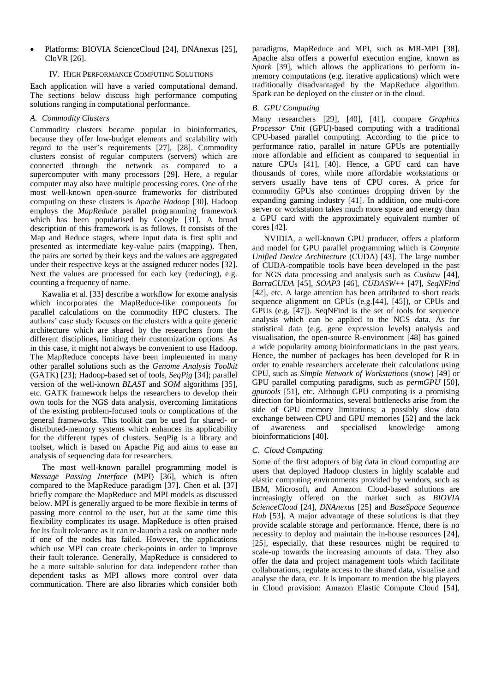Platforms: BIOVIA ScienceCloud [24], DNAnexus [25], CloVR [26].

## IV. HIGH PERFORMANCE COMPUTING SOLUTIONS

Each application will have a varied computational demand. The sections below discuss high performance computing solutions ranging in computational performance.

## *A. Commodity Clusters*

Commodity clusters became popular in bioinformatics, because they offer low-budget elements and scalability with regard to the user's requirements [27], [28]. Commodity clusters consist of regular computers (servers) which are connected through the network as compared to a supercomputer with many processors [29]. Here, a regular computer may also have multiple processing cores. One of the most well-known open-source frameworks for distributed computing on these clusters is *Apache Hadoop* [30]. Hadoop employs the *MapReduce* parallel programming framework which has been popularised by Google [31]. A broad description of this framework is as follows. It consists of the Map and Reduce stages, where input data is first split and presented as intermediate key-value pairs (mapping). Then, the pairs are sorted by their keys and the values are aggregated under their respective keys at the assigned reducer nodes [32]. Next the values are processed for each key (reducing), e.g. counting a frequency of name.

Kawalia et al. [33] describe a workflow for exome analysis which incorporates the MapReduce-like components for parallel calculations on the commodity HPC clusters. The authors' case study focuses on the clusters with a quite generic architecture which are shared by the researchers from the different disciplines, limiting their customization options. As in this case, it might not always be convenient to use Hadoop. The MapReduce concepts have been implemented in many other parallel solutions such as the *Genome Analysis Toolkit* (GATK) [23]; Hadoop-based set of tools, *SeqPig* [34]; parallel version of the well-known *BLAST* and *SOM* algorithms [35], etc. GATK framework helps the researchers to develop their own tools for the NGS data analysis, overcoming limitations of the existing problem-focused tools or complications of the general frameworks. This toolkit can be used for shared- or distributed-memory systems which enhances its applicability for the different types of clusters. SeqPig is a library and toolset, which is based on Apache Pig and aims to ease an analysis of sequencing data for researchers.

The most well-known parallel programming model is *Message Passing Interface* (MPI) [36], which is often compared to the MapReduce paradigm [37]. Chen et al. [37] briefly compare the MapReduce and MPI models as discussed below. MPI is generally argued to be more flexible in terms of passing more control to the user, but at the same time this flexibility complicates its usage. MapReduce is often praised for its fault tolerance as it can re-launch a task on another node if one of the nodes has failed. However, the applications which use MPI can create check-points in order to improve their fault tolerance. Generally, MapReduce is considered to be a more suitable solution for data independent rather than dependent tasks as MPI allows more control over data communication. There are also libraries which consider both

paradigms, MapReduce and MPI, such as MR-MPI [38]. Apache also offers a powerful execution engine, known as *Spark* [39], which allows the applications to perform inmemory computations (e.g. iterative applications) which were traditionally disadvantaged by the MapReduce algorithm. Spark can be deployed on the cluster or in the cloud.

## *B. GPU Computing*

Many researchers [29], [40], [41], compare *Graphics Processor Unit* (GPU)-based computing with a traditional CPU-based parallel computing. According to the price to performance ratio, parallel in nature GPUs are potentially more affordable and efficient as compared to sequential in nature CPUs [41], [40]. Hence, a GPU card can have thousands of cores, while more affordable workstations or servers usually have tens of CPU cores. A price for commodity GPUs also continues dropping driven by the expanding gaming industry [41]. In addition, one multi-core server or workstation takes much more space and energy than a GPU card with the approximately equivalent number of cores [42].

NVIDIA, a well-known GPU producer, offers a platform and model for GPU parallel programming which is *Compute Unified Device Architecture* (CUDA) [43]. The large number of CUDA-compatible tools have been developed in the past for NGS data processing and analysis such as *Cushaw* [44], *BarraCUDA* [45], *SOAP3* [46], *CUDASW*++ [47], *SeqNFind* [42], etc. A large attention has been attributed to short reads sequence alignment on GPUs (e.g.[44], [45]), or CPUs and GPUs (e.g. [47]). SeqNFind is the set of tools for sequence analysis which can be applied to the NGS data. As for statistical data (e.g. gene expression levels) analysis and visualisation, the open-source R-environment [48] has gained a wide popularity among bioinformaticians in the past years. Hence, the number of packages has been developed for R in order to enable researchers accelerate their calculations using CPU, such as *Simple Network of Workstations* (snow) [49] or GPU parallel computing paradigms, such as *permGPU* [50], *gputools* [51], etc. Although GPU computing is a promising direction for bioinformatics, several bottlenecks arise from the side of GPU memory limitations; a possibly slow data exchange between CPU and GPU memories [52] and the lack of awareness and specialised knowledge among bioinformaticions [40].

# *C. Cloud Computing*

Some of the first adopters of big data in cloud computing are users that deployed Hadoop clusters in highly scalable and elastic computing environments provided by vendors, such as IBM, Microsoft, and Amazon. Cloud-based solutions are increasingly offered on the market such as *BIOVIA ScienceCloud* [24], *DNAnexus* [25] and *BaseSpace Sequence Hub* [53]. A major advantage of these solutions is that they provide scalable storage and performance. Hence, there is no necessity to deploy and maintain the in-house resources [24], [25], especially, that these resources might be required to scale-up towards the increasing amounts of data. They also offer the data and project management tools which facilitate collaborations, regulate access to the shared data, visualise and analyse the data, etc. It is important to mention the big players in Cloud provision: Amazon Elastic Compute Cloud [54],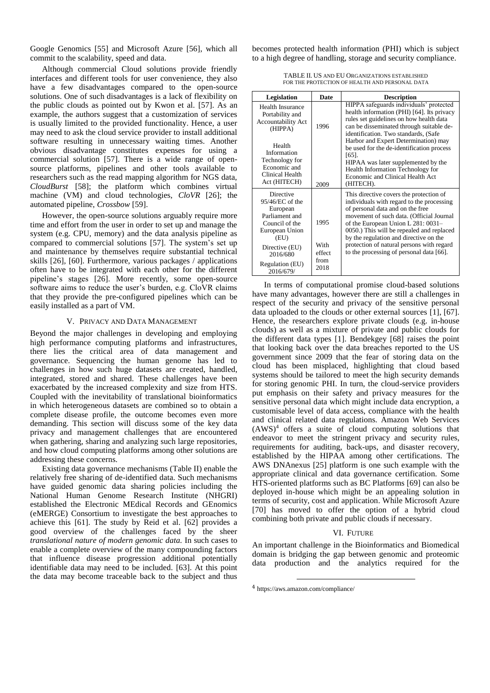Google Genomics [55] and Microsoft Azure [56], which all commit to the scalability, speed and data.

Although commercial Cloud solutions provide friendly interfaces and different tools for user convenience, they also have a few disadvantages compared to the open-source solutions. One of such disadvantages is a lack of flexibility on the public clouds as pointed out by Kwon et al. [57]. As an example, the authors suggest that a customization of services is usually limited to the provided functionality. Hence, a user may need to ask the cloud service provider to install additional software resulting in unnecessary waiting times. Another obvious disadvantage constitutes expenses for using a commercial solution [57]. There is a wide range of opensource platforms, pipelines and other tools available to researchers such as the read mapping algorithm for NGS data, *CloudBurst* [58]; the platform which combines virtual machine (VM) and cloud technologies, *CloVR* [26]; the automated pipeline, *Crossbow* [59].

However, the open-source solutions arguably require more time and effort from the user in order to set up and manage the system (e.g. CPU, memory) and the data analysis pipeline as compared to commercial solutions [57]. The system's set up and maintenance by themselves require substantial technical skills [26], [60]. Furthermore, various packages / applications often have to be integrated with each other for the different pipeline's stages [26]. More recently, some open-source software aims to reduce the user's burden, e.g. CloVR claims that they provide the pre-configured pipelines which can be easily installed as a part of VM.

## V. PRIVACY AND DATA MANAGEMENT

Beyond the major challenges in developing and employing high performance computing platforms and infrastructures, there lies the critical area of data management and governance. Sequencing the human genome has led to challenges in how such huge datasets are created, handled, integrated, stored and shared. These challenges have been exacerbated by the increased complexity and size from HTS. Coupled with the inevitability of translational bioinformatics in which heterogeneous datasets are combined so to obtain a complete disease profile, the outcome becomes even more demanding. This section will discuss some of the key data privacy and management challenges that are encountered when gathering, sharing and analyzing such large repositories, and how cloud computing platforms among other solutions are addressing these concerns.

Existing data governance mechanisms (Table II) enable the relatively free sharing of de-identified data. Such mechanisms have guided genomic data sharing policies including the National Human Genome Research Institute (NHGRI) established the Electronic MEdical Records and GEnomics (eMERGE) Consortium to investigate the best approaches to achieve this [61]. The study by Reid et al. [62] provides a good overview of the challenges faced by the sheer *translational nature of modern genomic data.* In such cases to enable a complete overview of the many compounding factors that influence disease progression additional potentially identifiable data may need to be included. [63]. At this point the data may become traceable back to the subject and thus

becomes protected health information (PHI) which is subject to a high degree of handling, storage and security compliance.

TABLE II. US AND EU ORGANIZATIONS ESTABLISHED FOR THE PROTECTION OF HEALTH AND PERSONAL DATA

| Legislation                                                                                                                                                                      | Date                                   | <b>Description</b>                                                                                                                                                                                                                                                                                                                                                                                                                                 |
|----------------------------------------------------------------------------------------------------------------------------------------------------------------------------------|----------------------------------------|----------------------------------------------------------------------------------------------------------------------------------------------------------------------------------------------------------------------------------------------------------------------------------------------------------------------------------------------------------------------------------------------------------------------------------------------------|
| <b>Health Insurance</b><br>Portability and<br><b>Accountability Act</b><br>(HIPPA)<br>Health<br>Information<br>Technology for<br>Economic and<br>Clinical Health<br>Act (HITECH) | 1996<br>2009                           | HIPPA safeguards individuals' protected<br>health information (PHI) [64]. Its privacy<br>rules set guidelines on how health data<br>can be disseminated through suitable de-<br>identification. Two standards, (Safe<br>Harbor and Expert Determination) may<br>be used for the de-identification process<br>$[65]$ .<br>HIPAA was later supplemented by the<br>Health Information Technology for<br>Economic and Clinical Health Act<br>(HITECH). |
| <b>Directive</b><br>$95/46$ /EC of the<br>European<br>Parliament and<br>Council of the<br>European Union<br>(EU)<br>Directive (EU)<br>2016/680<br>Regulation (EU)<br>2016/679/   | 1995<br>With<br>effect<br>from<br>2018 | This directive covers the protection of<br>individuals with regard to the processing<br>of personal data and on the free<br>movement of such data. (Official Journal<br>of the European Union L 281: 0031-<br>0050.) This will be repealed and replaced<br>by the regulation and directive on the<br>protection of natural persons with regard<br>to the processing of personal data [66].                                                         |

In terms of computational promise cloud-based solutions have many advantages, however there are still a challenges in respect of the security and privacy of the sensitive personal data uploaded to the clouds or other external sources [1], [67]. Hence, the researchers explore private clouds (e.g. in-house clouds) as well as a mixture of private and public clouds for the different data types [1]. Bendekgey [68] raises the point that looking back over the data breaches reported to the US government since 2009 that the fear of storing data on the cloud has been misplaced, highlighting that cloud based systems should be tailored to meet the high security demands for storing genomic PHI. In turn, the cloud-service providers put emphasis on their safety and privacy measures for the sensitive personal data which might include data encryption, a customisable level of data access, compliance with the health and clinical related data regulations. Amazon Web Services  $(AWS)^4$  offers a suite of cloud computing solutions that endeavor to meet the stringent privacy and security rules, requirements for auditing, back-ups, and disaster recovery, established by the HIPAA among other certifications. The AWS DNAnexus [25] platform is one such example with the appropriate clinical and data governance certification. Some HTS-oriented platforms such as BC Platforms [69] can also be deployed in-house which might be an appealing solution in terms of security, cost and application. While Microsoft Azure [70] has moved to offer the option of a hybrid cloud combining both private and public clouds if necessary.

## VI. FUTURE

An important challenge in the Bioinformatics and Biomedical domain is bridging the gap between genomic and proteomic data production and the analytics required for the

1

<sup>4</sup> https://aws.amazon.com/compliance/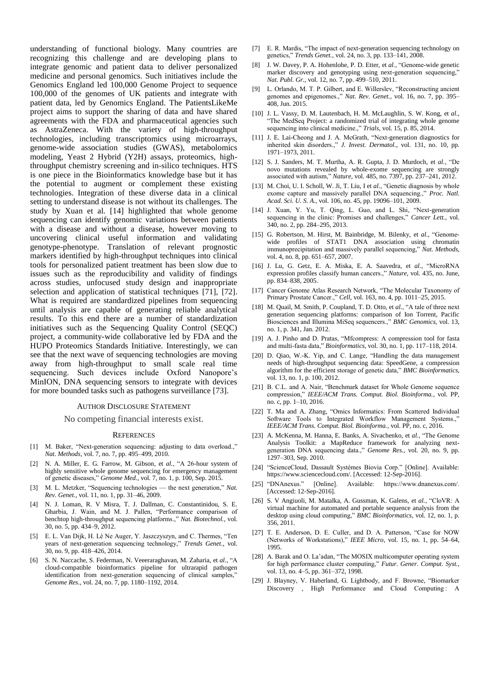understanding of functional biology. Many countries are recognizing this challenge and are developing plans to integrate genomic and patient data to deliver personalized medicine and personal genomics. Such initiatives include the Genomics England led 100,000 Genome Project to sequence 100,000 of the genomes of UK patients and integrate with patient data, led by Genomics England. The PatientsLikeMe project aims to support the sharing of data and have shared agreements with the FDA and pharmaceutical agencies such as AstraZeneca. With the variety of high-throughput technologies, including transcriptomics using microarrays, genome-wide association studies (GWAS), metabolomics modeling, Yeast 2 Hybrid (Y2H) assays, proteomics, highthroughput chemistry screening and in-silico techniques. HTS is one piece in the Bioinformatics knowledge base but it has the potential to augment or complement these existing technologies. Integration of these diverse data in a clinical setting to understand disease is not without its challenges. The study by Xuan et al. [14] highlighted that whole genome sequencing can identify genomic variations between patients with a disease and without a disease, however moving to uncovering clinical useful information and validating genotype-phenotype. Translation of relevant prognostic markers identified by high-throughput techniques into clinical tools for personalized patient treatment has been slow due to issues such as the reproducibility and validity of findings across studies, unfocused study design and inappropriate selection and application of statistical techniques [71], [72]. What is required are standardized pipelines from sequencing until analysis are capable of generating reliable analytical results. To this end there are a number of standardization initiatives such as the Sequencing Quality Control (SEQC) project, a community-wide collaborative led by FDA and the HUPO Proteomics Standards Initiative. Interestingly, we can see that the next wave of sequencing technologies are moving away from high-throughput to small scale real time sequencing. Such devices include Oxford Nanopore's MinION, DNA sequencing sensors to integrate with devices for more bounded tasks such as pathogens surveillance [73].

#### AUTHOR DISCLOSURE STATEMENT

### No competing financial interests exist.

#### **REFERENCES**

- [1] M. Baker, "Next-generation sequencing: adjusting to data overload.," *Nat. Methods*, vol. 7, no. 7, pp. 495–499, 2010.
- [2] N. A. Miller, E. G. Farrow, M. Gibson, et *al.*, "A 26-hour system of highly sensitive whole genome sequencing for emergency management of genetic diseases," *Genome Med.*, vol. 7, no. 1, p. 100, Sep. 2015.
- [3] M. L. Metzker, "Sequencing technologies the next generation," *Nat. Rev. Genet.*, vol. 11, no. 1, pp. 31–46, 2009.
- [4] N. J. Loman, R. V Misra, T. J. Dallman, C. Constantinidou, S. E. Gharbia, J. Wain, and M. J. Pallen, "Performance comparison of benchtop high-throughput sequencing platforms.," *Nat. Biotechnol.*, vol. 30, no. 5, pp. 434–9, 2012.
- [5] E. L. Van Dijk, H. Lè Ne Auger, Y. Jaszczyszyn, and C. Thermes, "Ten years of next-generation sequencing technology," *Trends Genet.*, vol. 30, no. 9, pp. 418–426, 2014.
- [6] S. N. Naccache, S. Federman, N. Veeeraraghavan, M. Zaharia, et *al.*, "A cloud-compatible bioinformatics pipeline for ultrarapid pathogen identification from next-generation sequencing of clinical samples," *Genome Res.*, vol. 24, no. 7, pp. 1180–1192, 2014.
- [7] E. R. Mardis, "The impact of next-generation sequencing technology on genetics," *Trends Genet.*, vol. 24, no. 3, pp. 133–141, 2008.
- [8] J. W. Davey, P. A. Hohenlohe, P. D. Etter, et *al.*, "Genome-wide genetic marker discovery and genotyping using next-generation sequencing, *Nat. Publ. Gr.*, vol. 12, no. 7, pp. 499–510, 2011.
- [9] L. Orlando, M. T. P. Gilbert, and E. Willerslev, "Reconstructing ancient genomes and epigenomes.," *Nat. Rev. Genet.*, vol. 16, no. 7, pp. 395– 408, Jun. 2015.
- [10] J. L. Vassy, D. M. Lautenbach, H. M. McLaughlin, S. W. Kong, et *al.*, "The MedSeq Project: a randomized trial of integrating whole genome sequencing into clinical medicine.," *Trials*, vol. 15, p. 85, 2014.
- [11] J. E. Lai-Cheong and J. A. McGrath, "Next-generation diagnostics for inherited skin disorders.," *J. Invest. Dermatol.*, vol. 131, no. 10, pp. 1971–1973, 2011.
- [12] S. J. Sanders, M. T. Murtha, A. R. Gupta, J. D. Murdoch, et *al.*, "De novo mutations revealed by whole-exome sequencing are strongly associated with autism," *Nature*, vol. 485, no. 7397, pp. 237–241, 2012.
- [13] M. Choi, U. I. Scholl, W. Ji, T. Liu, I et *al.*, "Genetic diagnosis by whole exome capture and massively parallel DNA sequencing.," *Proc. Natl. Acad. Sci. U. S. A.*, vol. 106, no. 45, pp. 19096–101, 2009.
- [14] J. Xuan, Y. Yu, T. Qing, L. Guo, and L. Shi, "Next-generation sequencing in the clinic: Promises and challenges," *Cancer Lett.*, vol. 340, no. 2, pp. 284–295, 2013.
- [15] G. Robertson, M. Hirst, M. Bainbridge, M. Bilenky, et *al.*, "Genomewide profiles of STAT1 DNA association using chromatin immunoprecipitation and massively parallel sequencing," *Nat. Methods*, vol. 4, no. 8, pp. 651–657, 2007.
- [16] J. Lu, G. Getz, E. A. Miska, E. A. Saavedra, et *al.*, "MicroRNA expression profiles classify human cancers.," *Nature*, vol. 435, no. June, pp. 834–838, 2005.
- [17] Cancer Genome Atlas Research Network, "The Molecular Taxonomy of Primary Prostate Cancer.," *Cell*, vol. 163, no. 4, pp. 1011–25, 2015.
- [18] M. Quail, M. Smith, P. Coupland, T. D. Otto, et *al.*, "A tale of three next generation sequencing platforms: comparison of Ion Torrent, Pacific Biosciences and Illumina MiSeq sequencers.," *BMC Genomics*, vol. 13, no. 1, p. 341, Jan. 2012.
- [19] A. J. Pinho and D. Pratas, "Mfcompress: A compression tool for fasta and multi-fasta data," *Bioinformatics*, vol. 30, no. 1, pp. 117–118, 2014.
- [20] D. Qiao, W.-K. Yip, and C. Lange, "Handling the data management needs of high-throughput sequencing data: SpeedGene, a compression algorithm for the efficient storage of genetic data," *BMC Bioinformatics*, vol. 13, no. 1, p. 100, 2012.
- [21] B. C.L. and A. Nair, "Benchmark dataset for Whole Genome sequence compression," *IEEE/ACM Trans. Comput. Biol. Bioinforma.*, vol. PP, no. c, pp. 1–10, 2016.
- [22] T. Ma and A. Zhang, "Omics Informatics: From Scattered Individual Software Tools to Integrated Workflow Management Systems.,' *IEEE/ACM Trans. Comput. Biol. Bioinforma.*, vol. PP, no. c, 2016.
- [23] A. McKenna, M. Hanna, E. Banks, A. Sivachenko, et *al.*, "The Genome Analysis Toolkit: a MapReduce framework for analyzing nextgeneration DNA sequencing data.," *Genome Res.*, vol. 20, no. 9, pp. 1297–303, Sep. 2010.
- [24] "ScienceCloud, Dassault Systémes Biovia Corp." [Online]. Available: https://www.sciencecloud.com/. [Accessed: 12-Sep-2016].
- [25] "DNAnexus." [Online]. Available: https://www.dnanexus.com/. [Accessed: 12-Sep-2016].
- [26] S. V Angiuoli, M. Matalka, A. Gussman, K. Galens, et *al.*, "CloVR: A virtual machine for automated and portable sequence analysis from the desktop using cloud computing," *BMC Bioinformatics*, vol. 12, no. 1, p. 356, 2011.
- [27] T. E. Anderson, D. E. Culler, and D. A. Patterson, "Case for NOW (Networks of Workstations)," *IEEE Micro*, vol. 15, no. 1, pp. 54–64, 1995.
- [28] A. Barak and O. La'adan, "The MOSIX multicomputer operating system for high performance cluster computing," *Futur. Gener. Comput. Syst.*, vol. 13, no. 4–5, pp. 361–372, 1998.
- [29] J. Blayney, V. Haberland, G. Lightbody, and F. Browne, "Biomarker Discovery , High Performance and Cloud Computing : A